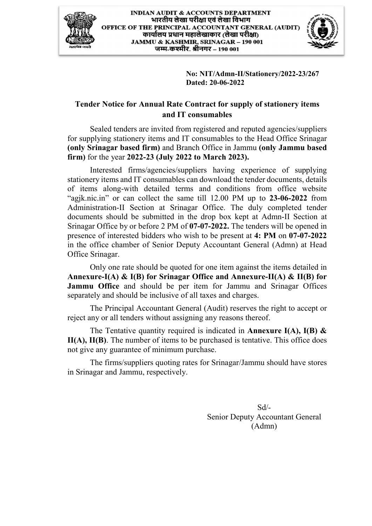



 **No: NIT/Admn-II/Stationery/2022-23/267 Dated: 20-06-2022** 

## **Tender Notice for Annual Rate Contract for supply of stationery items and IT consumables**

 Sealed tenders are invited from registered and reputed agencies/suppliers for supplying stationery items and IT consumables to the Head Office Srinagar **(only Srinagar based firm)** and Branch Office in Jammu **(only Jammu based firm)** for the year **2022-23 (July 2022 to March 2023).** 

 Interested firms/agencies/suppliers having experience of supplying stationery items and IT consumables can download the tender documents, details of items along-with detailed terms and conditions from office website "agjk.nic.in" or can collect the same till 12.00 PM up to **23-06-2022** from Administration-II Section at Srinagar Office. The duly completed tender documents should be submitted in the drop box kept at Admn-II Section at Srinagar Office by or before 2 PM of **07-07-2022.** The tenders will be opened in presence of interested bidders who wish to be present at **4: PM** on **07-07-2022** in the office chamber of Senior Deputy Accountant General (Admn) at Head Office Srinagar.

 Only one rate should be quoted for one item against the items detailed in **Annexure-I(A) & I(B) for Srinagar Office and Annexure-II(A) & II(B) for Jammu Office** and should be per item for Jammu and Srinagar Offices separately and should be inclusive of all taxes and charges.

 The Principal Accountant General (Audit) reserves the right to accept or reject any or all tenders without assigning any reasons thereof.

 The Tentative quantity required is indicated in **Annexure I(A), I(B) & II(A), II(B)**. The number of items to be purchased is tentative. This office does not give any guarantee of minimum purchase.

 The firms/suppliers quoting rates for Srinagar/Jammu should have stores in Srinagar and Jammu, respectively.

> Sd/- Senior Deputy Accountant General (Admn)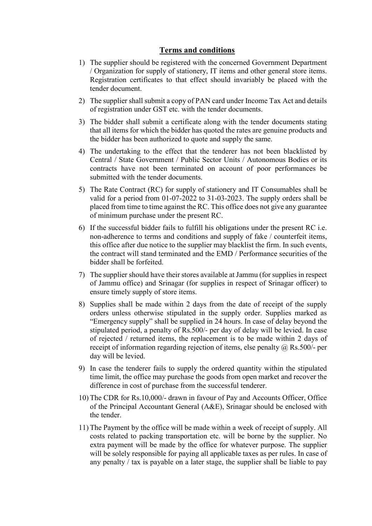## **Terms and conditions**

- 1) The supplier should be registered with the concerned Government Department / Organization for supply of stationery, IT items and other general store items. Registration certificates to that effect should invariably be placed with the tender document.
- 2) The supplier shall submit a copy of PAN card under Income Tax Act and details of registration under GST etc. with the tender documents.
- 3) The bidder shall submit a certificate along with the tender documents stating that all items for which the bidder has quoted the rates are genuine products and the bidder has been authorized to quote and supply the same.
- 4) The undertaking to the effect that the tenderer has not been blacklisted by Central / State Government / Public Sector Units / Autonomous Bodies or its contracts have not been terminated on account of poor performances be submitted with the tender documents.
- 5) The Rate Contract (RC) for supply of stationery and IT Consumables shall be valid for a period from 01-07-2022 to 31-03-2023. The supply orders shall be placed from time to time against the RC. This office does not give any guarantee of minimum purchase under the present RC.
- 6) If the successful bidder fails to fulfill his obligations under the present RC i.e. non-adherence to terms and conditions and supply of fake / counterfeit items, this office after due notice to the supplier may blacklist the firm. In such events, the contract will stand terminated and the EMD / Performance securities of the bidder shall be forfeited.
- 7) The supplier should have their stores available at Jammu (for supplies in respect of Jammu office) and Srinagar (for supplies in respect of Srinagar officer) to ensure timely supply of store items.
- 8) Supplies shall be made within 2 days from the date of receipt of the supply orders unless otherwise stipulated in the supply order. Supplies marked as "Emergency supply" shall be supplied in 24 hours. In case of delay beyond the stipulated period, a penalty of Rs.500/- per day of delay will be levied. In case of rejected / returned items, the replacement is to be made within 2 days of receipt of information regarding rejection of items, else penalty  $(a)$  Rs.500/- per day will be levied.
- 9) In case the tenderer fails to supply the ordered quantity within the stipulated time limit, the office may purchase the goods from open market and recover the difference in cost of purchase from the successful tenderer.
- 10) The CDR for Rs.10,000/- drawn in favour of Pay and Accounts Officer, Office of the Principal Accountant General (A&E), Srinagar should be enclosed with the tender.
- 11) The Payment by the office will be made within a week of receipt of supply. All costs related to packing transportation etc. will be borne by the supplier. No extra payment will be made by the office for whatever purpose. The supplier will be solely responsible for paying all applicable taxes as per rules. In case of any penalty / tax is payable on a later stage, the supplier shall be liable to pay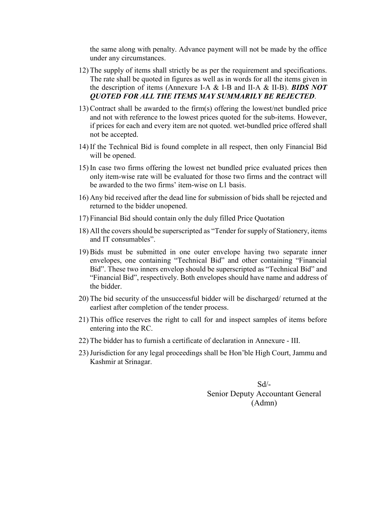the same along with penalty. Advance payment will not be made by the office under any circumstances.

- 12) The supply of items shall strictly be as per the requirement and specifications. The rate shall be quoted in figures as well as in words for all the items given in the description of items (Annexure I-A & I-B and II-A & II-B). *BIDS NOT QUOTED FOR ALL THE ITEMS MAY SUMMARILY BE REJECTED*.
- 13)Contract shall be awarded to the firm(s) offering the lowest/net bundled price and not with reference to the lowest prices quoted for the sub-items. However, if prices for each and every item are not quoted. wet-bundled price offered shall not be accepted.
- 14) If the Technical Bid is found complete in all respect, then only Financial Bid will be opened.
- 15) In case two firms offering the lowest net bundled price evaluated prices then only item-wise rate will be evaluated for those two firms and the contract will be awarded to the two firms' item-wise on L1 basis.
- 16) Any bid received after the dead line for submission of bids shall be rejected and returned to the bidder unopened.
- 17) Financial Bid should contain only the duly filled Price Quotation
- 18) All the covers should be superscripted as "Tender for supply of Stationery, items and IT consumables".
- 19)Bids must be submitted in one outer envelope having two separate inner envelopes, one containing "Technical Bid" and other containing "Financial Bid". These two inners envelop should be superscripted as "Technical Bid" and "Financial Bid", respectively. Both envelopes should have name and address of the bidder.
- 20) The bid security of the unsuccessful bidder will be discharged/ returned at the earliest after completion of the tender process.
- 21) This office reserves the right to call for and inspect samples of items before entering into the RC.
- 22) The bidder has to furnish a certificate of declaration in Annexure III.
- 23)Jurisdiction for any legal proceedings shall be Hon'ble High Court, Jammu and Kashmir at Srinagar.

Sd/- Senior Deputy Accountant General (Admn)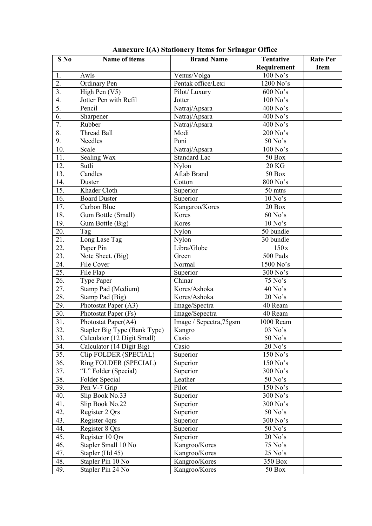| S No              | Name of items                | <b>Brand Name</b>       | <b>Tentative</b> | <b>Rate Per</b> |
|-------------------|------------------------------|-------------------------|------------------|-----------------|
|                   |                              |                         | Requirement      | <b>Item</b>     |
| 1.                | Awls                         | Venus/Volga             | 100 No's         |                 |
| $\overline{2}$ .  | Ordinary Pen                 | Pentak office/Lexi      | 1200 No's        |                 |
| $\overline{3}$ .  | High Pen (V5)                | Pilot/Luxury            | $600$ No's       |                 |
| $\overline{4}$ .  | Jotter Pen with Refil        | Jotter                  | 100 No's         |                 |
| 5.                | Pencil                       | Natraj/Apsara           | 400 No's         |                 |
| $\overline{6}$ .  | Sharpener                    | Natraj/Apsara           | 400 No's         |                 |
| 7.                | Rubber                       | Natraj/Apsara           | 400 No's         |                 |
| 8.                | <b>Thread Ball</b>           | Modi                    | 200 No's         |                 |
| 9.                | Needles                      | Poni                    | 50 No's          |                 |
| $\overline{10}$ . | Scale                        | Natraj/Apsara           | 100 No's         |                 |
| 11.               | Sealing Wax                  | Standard Lac            | 50 Box           |                 |
| $\overline{12}$ . | Sutli                        | Nylon                   | <b>20 KG</b>     |                 |
| 13.               | Candles                      | Aftab Brand             | <b>50 Box</b>    |                 |
| 14.               | Duster                       | Cotton                  | $800$ No's       |                 |
| 15.               | Khader Cloth                 | Superior                | 50 mtrs          |                 |
| 16.               | <b>Board Duster</b>          | Superior                | $10$ No's        |                 |
| 17.               | Carbon Blue                  | Kangaroo/Kores          | 20 Box           |                 |
| 18.               | Gum Bottle (Small)           | Kores                   | $60$ No's        |                 |
| 19.               | Gum Bottle (Big)             | Kores                   | $10$ No's $\,$   |                 |
| 20.               | Tag                          | Nylon                   | 50 bundle        |                 |
| 21.               | Long Lase Tag                | Nylon                   | 30 bundle        |                 |
| 22.               | Paper Pin                    | Libra/Globe             | 150x             |                 |
| $\overline{23}$ . | Note Sheet. (Big)            | Green                   | 500 Pads         |                 |
| 24.               | File Cover                   | Normal                  | 1500 No's        |                 |
| $\overline{25}$ . | File Flap                    | Superior                | 300 No's         |                 |
| 26.               | Type Paper                   | Chinar                  | $75$ No's        |                 |
| 27.               | Stamp Pad (Medium)           | Kores/Ashoka            | 40 No's          |                 |
| 28.               | Stamp Pad (Big)              | Kores/Ashoka            | $20$ No's        |                 |
| 29.               | Photostat Paper (A3)         | Image/Spectra           | 40 Ream          |                 |
| 30.               | Photostat Paper (Fs)         | Image/Sepectra          | 40 Ream          |                 |
| 31.               | Photostat Paper(A4)          | Image / Sepectra, 75gsm | 1000 Ream        |                 |
| 32.               | Stapler Big Type (Bank Type) | Kangro                  | 03 No's          |                 |
| 33.               | Calculator (12 Digit Small)  | Casio                   | 50 No's          |                 |
| 34.               | Calculator (14 Digit Big)    | Casio                   | $20$ No's        |                 |
| 35.               | Clip FOLDER (SPECIAL)        | Superior                | 150 No's         |                 |
| 36.               | Ring FOLDER (SPECIAL)        | Superior                | 150 No's         |                 |
| 37.               | "L" Folder (Special)         | Superior                | 300 No's         |                 |
| 38.               | Folder Special               | Leather                 | 50 No's          |                 |
| 39.               | Pen V-7 Grip                 | Pilot                   | 150 No's         |                 |
| 40.               | Slip Book No.33              | Superior                | 300 No's         |                 |
| 41.               | Slip Book No.22              | Superior                | 300 No's         |                 |
| 42.               | Register 2 Qrs               | Superior                | $50$ No's        |                 |
| 43.               | Register 4qrs                | Superior                | 300 No's         |                 |
| 44.               | Register 8 Qrs               | Superior                | $50$ No's        |                 |
| 45.               | Register 10 Qrs              | Superior                | $20$ No's        |                 |
| 46.               | Stapler Small 10 No          | Kangroo/Kores           | 75 No's          |                 |
| 47.               | Stapler (Hd 45)              | Kangroo/Kores           | 25 No's          |                 |
| 48.               | Stapler Pin 10 No            | Kangroo/Kores           | 350 Box          |                 |
| 49.               | Stapler Pin 24 No            | Kangroo/Kores           | <b>50 Box</b>    |                 |

**Annexure I(A) Stationery Items for Srinagar Office**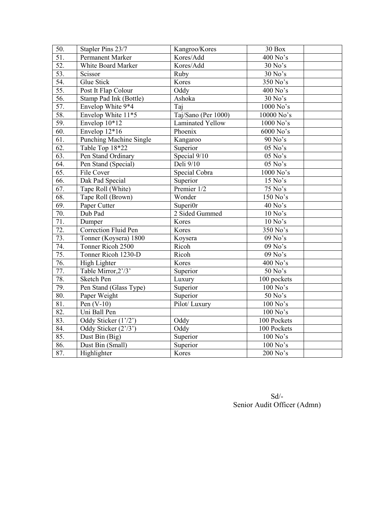| 50.               | Stapler Pins 23/7              | Kangroo/Kores           | 30 Box      |
|-------------------|--------------------------------|-------------------------|-------------|
| $\overline{51}$ . | <b>Permanent Marker</b>        | Kores/Add               | 400 No's    |
| $\overline{52}$ . | White Board Marker             | Kores/Add               | $30$ No's   |
| 53.               | Scissor                        | Ruby                    | 30 No's     |
| 54.               | Glue Stick                     | Kores                   | 350 No's    |
| $\overline{55}$ . | Post It Flap Colour            | Oddy                    | 400 No's    |
| 56.               | Stamp Pad Ink (Bottle)         | Ashoka                  | $30$ No's   |
| $\overline{57}$ . | Envelop White 9*4              | Taj                     | 1000 No's   |
| 58.               | Envelop White 11*5             | Taj/Sano (Per 1000)     | 10000 No's  |
| 59.               | Envelop 10*12                  | <b>Laminated Yellow</b> | 1000 No's   |
| $\overline{60}$ . | Envelop 12*16                  | Phoenix                 | 6000 No's   |
| 61.               | <b>Punching Machine Single</b> | Kangaroo                | 90 No's     |
| 62.               | Table Top 18*22                | Superior                | $05$ No's   |
| 63.               | Pen Stand Ordinary             | Special 9/10            | 05 No's     |
| 64.               | Pen Stand (Special)            | Deli 9/10               | 05 No's     |
| $\overline{65}$ . | File Cover                     | Special Cobra           | 1000 No's   |
| 66.               | Dak Pad Special                | Superior                | $15$ No's   |
| 67.               | Tape Roll (White)              | Premier 1/2             | 75 No's     |
| 68.               | Tape Roll (Brown)              | Wonder                  | 150 No's    |
| 69.               | Paper Cutter                   | Superi0r                | 40 No's     |
| 70.               | Dub Pad                        | 2 Sided Gummed          | $10$ No's   |
| 71.               | Dumper                         | Kores                   | $10$ No's   |
| $\overline{72}$ . | <b>Correction Fluid Pen</b>    | Kores                   | 350 No's    |
| 73.               | Tonner (Koysera) 1800          | Koysera                 | 09 No's     |
| 74.               | Tonner Ricoh 2500              | Ricoh                   | 09 No's     |
| 75.               | Tonner Ricoh 1230-D            | Ricoh                   | 09 No's     |
| 76.               | High Lighter                   | Kores                   | 400 No's    |
| 77.               | Table Mirror, 2'/3'            | Superior                | 50 No's     |
| 78.               | <b>Sketch Pen</b>              | Luxury                  | 100 pockets |
| 79.               | Pen Stand (Glass Type)         | Superior                | $100$ No's  |
| 80.               | Paper Weight                   | Superior                | 50 No's     |
| 81.               | Pen $(V-10)$                   | Pilot/Luxury            | $100$ No's  |
| 82.               | Uni Ball Pen                   |                         | 100 No's    |
| 83.               | Oddy Sticker (1'/2')           | Oddy                    | 100 Pockets |
| 84.               | Oddy Sticker (2'/3')           | Oddy                    | 100 Pockets |
| 85.               | Dust Bin (Big)                 | Superior                | 100 No's    |
| 86.               | Dust Bin (Small)               | Superior                | $100$ No's  |
| 87.               | Highlighter                    | Kores                   | 200 No's    |

Sd/- Senior Audit Officer (Admn)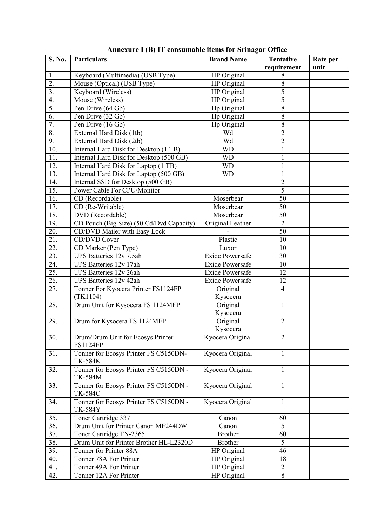| S. No.            | <b>Particulars</b>                                       | <b>Brand Name</b>      | <b>Tentative</b> | Rate per |
|-------------------|----------------------------------------------------------|------------------------|------------------|----------|
|                   |                                                          |                        | requirement      | unit     |
| 1.                | Keyboard (Multimedia) (USB Type)                         | HP Original            | 8                |          |
| 2.                | Mouse (Optical) (USB Type)                               | HP Original            | 8                |          |
| $\overline{3}$ .  | Keyboard (Wireless)                                      | HP Original            | $\overline{5}$   |          |
| 4.                | Mouse (Wireless)                                         | HP Original            | $\overline{5}$   |          |
| 5.                | Pen Drive (64 Gb)                                        | Hp Original            | $\,$ 8 $\,$      |          |
| 6.                | Pen Drive (32 Gb)                                        | Hp Original            | 8                |          |
| 7.                | Pen Drive (16 Gb)                                        | Hp Original            | 8                |          |
| 8.                | External Hard Disk (1tb)                                 | Wd                     | $\overline{2}$   |          |
| 9.                | External Hard Disk (2tb)                                 | Wd                     | $\overline{2}$   |          |
| 10.               | Internal Hard Disk for Desktop (1 TB)                    | <b>WD</b>              | $\mathbf{1}$     |          |
| 11.               | Internal Hard Disk for Desktop (500 GB)                  | <b>WD</b>              | $\mathbf{1}$     |          |
| 12.               | Internal Hard Disk for Laptop (1 TB)                     | <b>WD</b>              | $\mathbf 1$      |          |
| 13.               | Internal Hard Disk for Laptop (500 GB)                   | <b>WD</b>              | $\mathbf{1}$     |          |
| 14.               | Internal SSD for Desktop (500 GB)                        |                        | $\overline{2}$   |          |
| 15.               | Power Cable For CPU/Monitor                              |                        | $\overline{5}$   |          |
| 16.               | CD (Recordable)                                          | Moserbear              | 50               |          |
| 17.               | CD (Re-Writable)                                         | Moserbear              | 50               |          |
| 18.               | DVD (Recordable)                                         | Moserbear              | 50               |          |
| 19.               | CD Pouch (Big Size) (50 Cd/Dvd Capacity)                 | Original Leather       | $\overline{2}$   |          |
| 20.               | CD/DVD Mailer with Easy Lock                             |                        | 50               |          |
| 21.               | CD/DVD Cover                                             | Plastic                | 10               |          |
| 22.               | CD Marker (Pen Type)                                     | Luxor                  | 10               |          |
| $\overline{23}$ . | UPS Batteries 12v 7.5ah                                  | Exide Powersafe        | 30               |          |
| 24.               | UPS Batteries 12v 17ah                                   | <b>Exide Powersafe</b> | 10               |          |
| 25.               | UPS Batteries 12v 26ah                                   | <b>Exide Powersafe</b> | 12               |          |
| 26.               | <b>UPS</b> Batteries 12v 42ah                            | Exide Powersafe        | 12               |          |
| 27.               | Tonner For Kyocera Printer FS1124FP                      | Original               | $\overline{4}$   |          |
|                   | (TK1104)                                                 | Kysocera               |                  |          |
| 28.               | Drum Unit for Kysocera FS 1124MFP                        | Original               | 1                |          |
|                   |                                                          | Kysocera               |                  |          |
| 29.               | Drum for Kysocera FS 1124MFP                             | Original               | $\overline{2}$   |          |
|                   |                                                          | Kysocera               |                  |          |
| 30.               | Drum/Drum Unit for Ecosys Printer                        | Kyocera Original       | $\overline{2}$   |          |
|                   | <b>FS1124FP</b>                                          |                        |                  |          |
| 31.               | Tonner for Ecosys Printer FS C5150DN-<br><b>TK-584K</b>  | Kyocera Original       | $\mathbf{1}$     |          |
| 32.               | Tonner for Ecosys Printer FS C5150DN -                   | Kyocera Original       | $\mathbf{1}$     |          |
|                   | <b>TK-584M</b>                                           |                        |                  |          |
| 33.               | Tonner for Ecosys Printer FS C5150DN -<br><b>TK-584C</b> | Kyocera Original       | 1                |          |
| 34.               | Tonner for Ecosys Printer FS C5150DN -<br><b>TK-584Y</b> | Kyocera Original       | 1                |          |
| 35.               | Toner Cartridge 337                                      | Canon                  | 60               |          |
| 36.               | Drum Unit for Printer Canon MF244DW                      | Canon                  | 5                |          |
| 37.               | Toner Cartridge TN-2365                                  | <b>Brother</b>         | 60               |          |
| 38.               | Drum Unit for Printer Brother HL-L2320D                  | <b>Brother</b>         | 5                |          |
| 39.               | Tonner for Printer 88A                                   | HP Original            | 46               |          |
| 40.               | Tonner 78A For Printer                                   | HP Original            | 18               |          |
| 41.               | Tonner 49A For Printer                                   | HP Original            | $\overline{2}$   |          |
| 42.               | Tonner 12A For Printer                                   | HP Original            | $\overline{8}$   |          |

## **Annexure I (B) IT consumable items for Srinagar Office**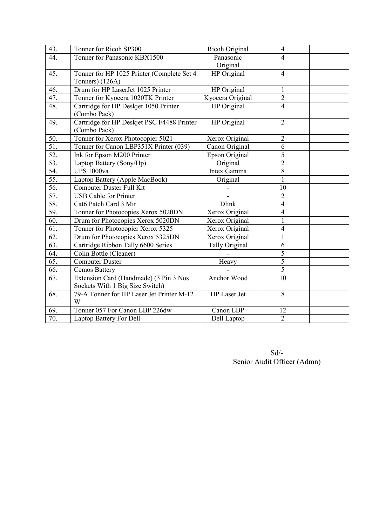| 43.               | Tonner for Ricoh SP300                     | Ricoh Original   | $\overline{\mathcal{L}}$ |  |
|-------------------|--------------------------------------------|------------------|--------------------------|--|
| 44.               | Tonner for Panasonic KBX1500               | Panasonic        | 4                        |  |
|                   |                                            | Original         |                          |  |
| 45.               | Tonner for HP 1025 Printer (Complete Set 4 | HP Original      | $\overline{4}$           |  |
|                   | Tonners) (126A)                            |                  |                          |  |
| 46.               | Drum for HP LaserJet 1025 Printer          | HP Original      | $\mathbf{1}$             |  |
| 47.               | Tonner for Kyocera 1020TK Printer          | Kyocera Original | $\overline{2}$           |  |
| 48.               | Cartridge for HP Deskjet 1050 Printer      | HP Original      | $\overline{4}$           |  |
|                   | (Combo Pack)                               |                  |                          |  |
| 49.               | Cartridge for HP Deskjet PSC F4488 Printer | HP Original      | $\overline{2}$           |  |
|                   | (Combo Pack)                               |                  |                          |  |
| 50.               | Tonner for Xerox Photocopier 5021          | Xerox Original   | $\overline{2}$           |  |
| 51.               | Tonner for Canon LBP351X Printer (039)     | Canon Original   | 6                        |  |
| 52.               | Ink for Epson M200 Printer                 | Epson Original   | 5                        |  |
| 53.               | Laptop Battery (Sony/Hp)                   | Original         | $\overline{c}$           |  |
| 54.               | <b>UPS 1000va</b>                          | Intex Gamma      | $\overline{8}$           |  |
| 55.               | Laptop Battery (Apple MacBook)             | Original         | $\mathbf{1}$             |  |
| 56.               | Computer Duster Full Kit                   |                  | 10                       |  |
| 57.               | <b>USB</b> Cable for Printer               |                  | $\overline{2}$           |  |
| 58.               | Cat6 Patch Card 3 Mtr                      | <b>Dlink</b>     | $\overline{4}$           |  |
| 59.               | Tonner for Photocopies Xerox 5020DN        | Xerox Original   | $\overline{\mathbf{4}}$  |  |
| 60.               | Drum for Photocopies Xerox 5020DN          | Xerox Original   | $\mathbf{1}$             |  |
| $\overline{61}$ . | Tonner for Photocopier Xerox 5325          | Xerox Original   | 4                        |  |
| 62.               | Drum for Photocopies Xerox 5325DN          | Xerox Original   | $\mathbf{1}$             |  |
| $\overline{63}$ . | Cartridge Ribbon Tally 6600 Series         | Tally Original   | 6                        |  |
| 64.               | Colin Bottle (Cleaner)                     |                  | $\overline{5}$           |  |
| 65.               | <b>Computer Duster</b>                     | Heavy            | 5                        |  |
| 66.               | Cemos Battery                              |                  | 5                        |  |
| 67.               | Extension Card (Handmade) (3 Pin 3 Nos     | Anchor Wood      | 10                       |  |
|                   | Sockets With 1 Big Size Switch)            |                  |                          |  |
| 68.               | 79-A Tonner for HP Laser Jet Printer M-12  | HP Laser Jet     | $\,8\,$                  |  |
|                   | W                                          |                  |                          |  |
| 69.               | Tonner 057 For Canon LBP 226dw             | Canon LBP        | 12                       |  |
| 70.               | Laptop Battery For Dell                    | Dell Laptop      | $\overline{2}$           |  |

Sd/- Senior Audit Officer (Admn)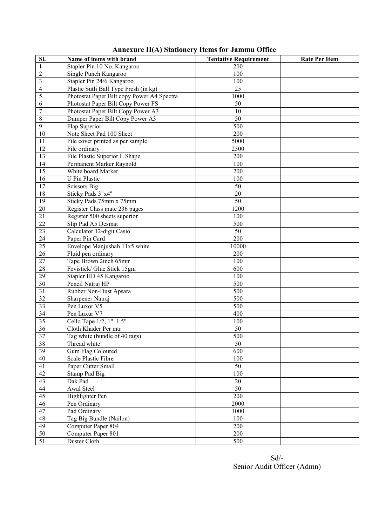| <b>Annexure II(A) Stationery Items for Jammu Office</b> |  |  |  |  |
|---------------------------------------------------------|--|--|--|--|
|---------------------------------------------------------|--|--|--|--|

| Sl.                     | Name of items with brand                   | <b>Tentative Requirement</b> | <b>Rate Per Item</b> |
|-------------------------|--------------------------------------------|------------------------------|----------------------|
| $\mathbf{1}$            | Stapler Pin 10 No. Kangaroo                | 200                          |                      |
| $\overline{c}$          | Single Punch Kangaroo                      | 100                          |                      |
| $\overline{\mathbf{3}}$ | Stapler Pin 24/6 Kangaroo                  | 100                          |                      |
| $\overline{4}$          | Plastic Sutli Ball Type Fresh (in kg)      | 25                           |                      |
| $\overline{5}$          | Photostat Paper Bilt copy Power A4 Spectra | 1000                         |                      |
| 6                       | Photostat Paper Bilt Copy Power FS         | 50                           |                      |
| $\overline{7}$          | Photostat Paper Bilt Copy Power A3         | 10                           |                      |
| $\,$ 8 $\,$             | Dumper Paper Bilt Copy Power A3            | 50                           |                      |
| 9                       | Flap Superior                              | 500                          |                      |
| $\overline{10}$         | Note Sheet Pad 100 Sheet                   | 200                          |                      |
| 11                      | File cover printed as per sample           | 5000                         |                      |
| $\overline{12}$         | File ordinary                              | 2500                         |                      |
| $\overline{13}$         | File Plastic Superior L Shape              | 200                          |                      |
| $\overline{14}$         | Permanent Marker Raynold                   | 100                          |                      |
| 15                      | White board Marker                         | 200                          |                      |
| $\overline{16}$         | <b>U</b> Pin Plastic                       | 100                          |                      |
| $\overline{17}$         | <b>Scissors Big</b>                        | 50                           |                      |
| 18                      | Sticky Pads 3"x4"                          | 20                           |                      |
| $\overline{19}$         | Sticky Pads 75mm x 75mm                    | 50                           |                      |
| $\overline{20}$         | Register Class mate 236 pages              | 1200                         |                      |
| $\overline{21}$         | Register 500 sheets superior               | 100                          |                      |
| $\overline{22}$         | Slip Pad A5 Desmat                         | 500                          |                      |
| $\overline{23}$         | Calculator 12-digit Casio                  | 50                           |                      |
| $\overline{24}$         | Paper Pin Card                             | 200                          |                      |
| $\overline{25}$         | Envelope Manjushah 11x5 white              | 10000                        |                      |
| $\overline{26}$         | Fluid pen ordinary                         | 200                          |                      |
| $\overline{27}$         | Tape Brown 2inch 65mtr                     | 100                          |                      |
| $\overline{28}$         | Fevistick/ Glue Stick 15gm                 | 600                          |                      |
| 29                      | Stapler HD 45 Kangaroo                     | 100                          |                      |
| 30                      | Pencil Natraj HP                           | 500                          |                      |
| $\overline{31}$         | Rubber Non-Dust Apsara                     | 500                          |                      |
| $\overline{32}$         | Sharpener Natraj                           | 500                          |                      |
| $\overline{33}$         | Pen Luxor V5                               | 500                          |                      |
| 34                      | Pen Luxur V7                               | 400                          |                      |
| $\overline{35}$         | Cello Tape 1/2, 1", 1.5"                   | 100                          |                      |
| 36                      | Cloth Khader Per mtr                       | 50                           |                      |
| 37                      | Tag white (bundle of 40 tags)              | 500                          |                      |
| $\overline{38}$         | Thread white                               | 50                           |                      |
| $\overline{39}$         | Gum Flag Coloured                          | 600                          |                      |
| $\overline{40}$         | Scale Plastic Fibre                        | 100                          |                      |
| 41                      | Paper Cutter Small                         | 50                           |                      |
| 42                      | Stamp Pad Big                              | 100                          |                      |
| 43                      | Dak Pad                                    | $20\,$                       |                      |
| 44                      | Awal Steel                                 | 50                           |                      |
| $\overline{45}$         | Highlighter Pen                            | 200                          |                      |
| 46                      | Pen Ordinary                               | 2000                         |                      |
| 47                      | Pad Ordinary                               | 1000                         |                      |
| $\sqrt{48}$             | Tag Big Bundle (Nailon)                    | 100                          |                      |
| 49                      | Computer Paper 804                         | 200                          |                      |
| $\overline{50}$         | Computer Paper 801                         | 200                          |                      |
| $\overline{51}$         | Duster Cloth                               | 500                          |                      |